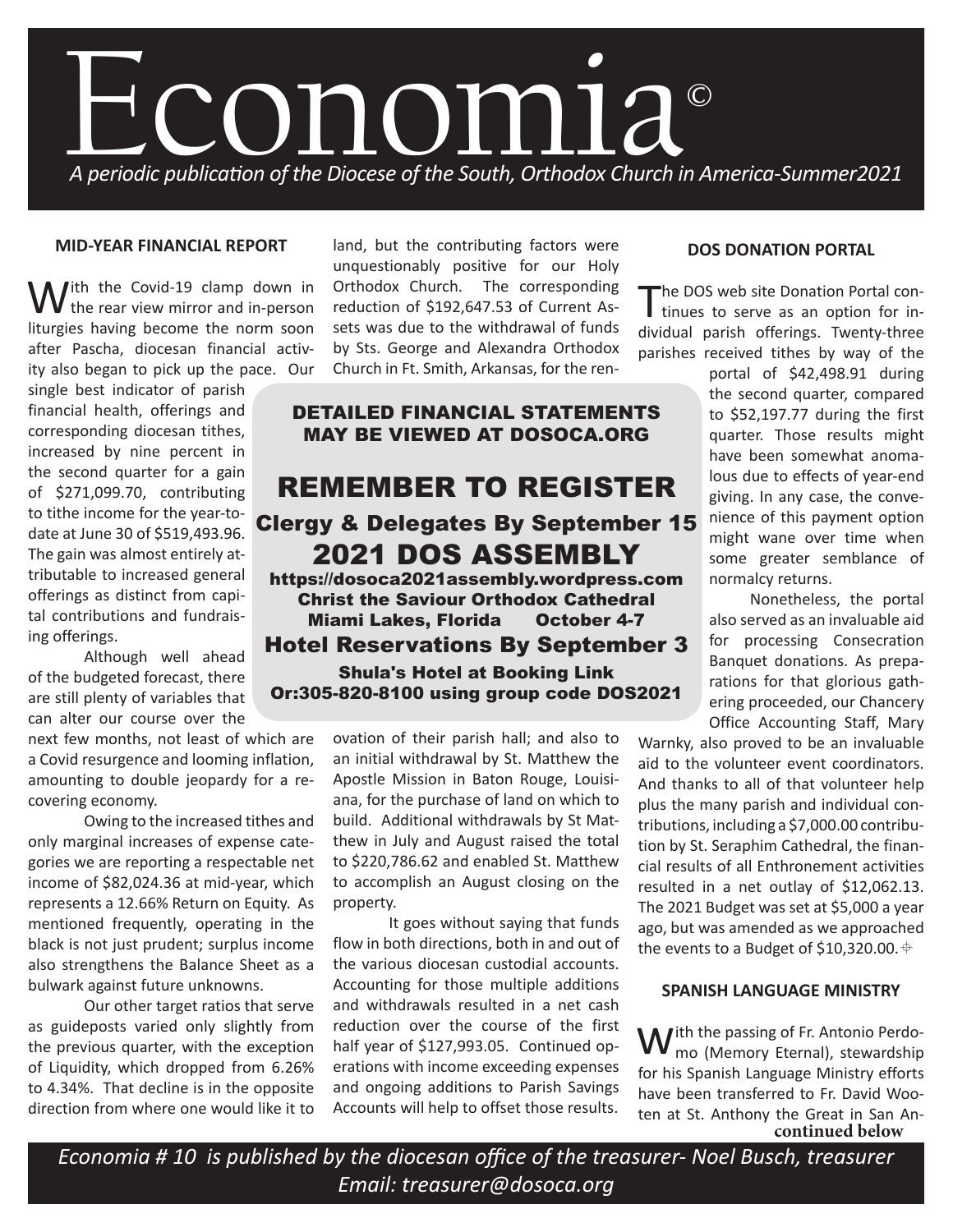

#### **MID-YEAR FINANCIAL REPORT**

 $\bigvee$ ith the Covid-19 clamp down in the rear view mirror and in-person liturgies having become the norm soon after Pascha, diocesan financial activity also began to pick up the pace. Our

single best indicator of parish financial health, offerings and corresponding diocesan tithes, increased by nine percent in the second quarter for a gain of \$271,099.70, contributing to tithe income for the year-todate at June 30 of \$519,493.96. The gain was almost entirely attributable to increased general offerings as distinct from capital contributions and fundraising offerings.

Although well ahead of the budgeted forecast, there are still plenty of variables that can alter our course over the

next few months, not least of which are a Covid resurgence and looming inflation, amounting to double jeopardy for a recovering economy.

Owing to the increased tithes and only marginal increases of expense categories we are reporting a respectable net income of \$82,024.36 at mid-year, which represents a 12.66% Return on Equity. As mentioned frequently, operating in the black is not just prudent; surplus income also strengthens the Balance Sheet as a bulwark against future unknowns.

Our other target ratios that serve as guideposts varied only slightly from the previous quarter, with the exception of Liquidity, which dropped from 6.26% to 4.34%. That decline is in the opposite direction from where one would like it to land, but the contributing factors were unquestionably positive for our Holy Orthodox Church. The corresponding reduction of \$192,647.53 of Current Assets was due to the withdrawal of funds by Sts. George and Alexandra Orthodox Church in Ft. Smith, Arkansas, for the ren-

# DETAILED FINANCIAL STATEMENTS MAY BE VIEWED AT DOSOCA.ORG

# REMEMBER TO REGISTER Clergy & Delegates By September 15 2021 DOS ASSEMBLY

https://dosoca2021assembly.wordpress.com Christ the Saviour Orthodox Cathedral Miami Lakes, Florida October 4-7 Hotel Reservations By September 3 Shula's Hotel at Booking Link Or:305-820-8100 using group code DOS2021

> ovation of their parish hall; and also to an initial withdrawal by St. Matthew the Apostle Mission in Baton Rouge, Louisiana, for the purchase of land on which to build. Additional withdrawals by St Matthew in July and August raised the total to \$220,786.62 and enabled St. Matthew to accomplish an August closing on the property.

> It goes without saying that funds flow in both directions, both in and out of the various diocesan custodial accounts. Accounting for those multiple additions and withdrawals resulted in a net cash reduction over the course of the first half year of \$127,993.05. Continued operations with income exceeding expenses and ongoing additions to Parish Savings Accounts will help to offset those results.

#### **DOS DONATION PORTAL**

The DOS web site Donation Portal con-I tinues to serve as an option for individual parish offerings. Twenty-three parishes received tithes by way of the

> portal of \$42,498.91 during the second quarter, compared to \$52,197.77 during the first quarter. Those results might have been somewhat anomalous due to effects of year-end giving. In any case, the convenience of this payment option might wane over time when some greater semblance of normalcy returns.

> Nonetheless, the portal also served as an invaluable aid for processing Consecration Banquet donations. As preparations for that glorious gathering proceeded, our Chancery Office Accounting Staff, Mary

Warnky, also proved to be an invaluable aid to the volunteer event coordinators. And thanks to all of that volunteer help plus the many parish and individual contributions, including a \$7,000.00 contribution by St. Seraphim Cathedral, the financial results of all Enthronement activities resulted in a net outlay of \$12,062.13. The 2021 Budget was set at \$5,000 a year ago, but was amended as we approached the events to a Budget of \$10,320.00.  $\triangleq$ 

# **SPANISH LANGUAGE MINISTRY**

 $M$ ith the passing of Fr. Antonio Perdomo (Memory Eternal), stewardship for his Spanish Language Ministry efforts have been transferred to Fr. David Wooten at St. Anthony the Great in San An**continued below**

*Economia # 10 is published by the diocesan office of the treasurer- Noel Busch, treasurer Email: treasurer@dosoca.org*